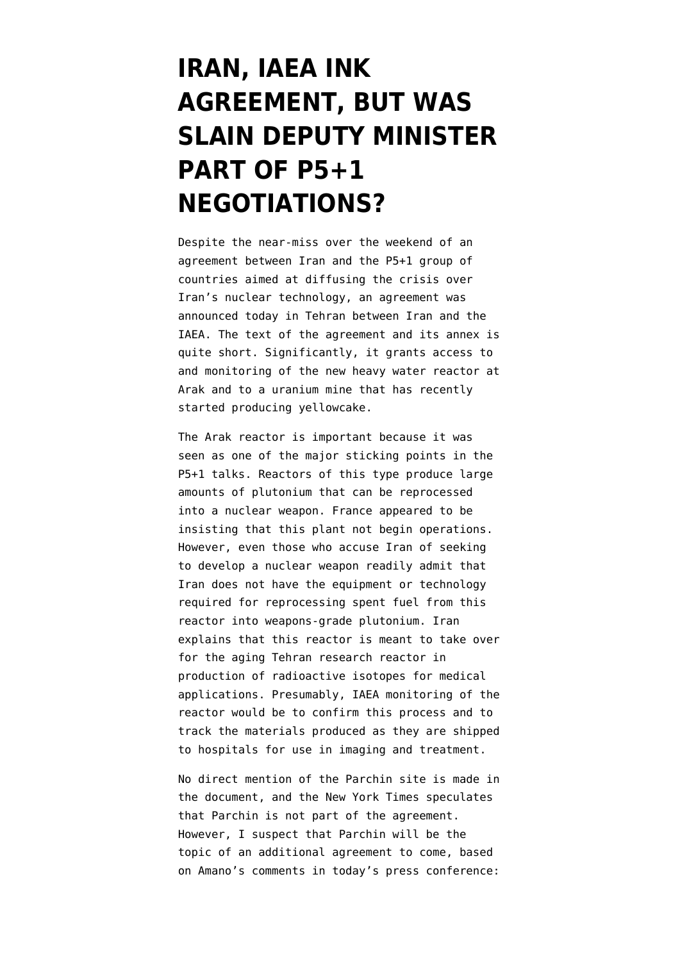## **[IRAN, IAEA INK](https://www.emptywheel.net/2013/11/11/iran-iaea-ink-agreement-but-was-slain-deputy-minister-part-of-p51-negotiations/) [AGREEMENT, BUT WAS](https://www.emptywheel.net/2013/11/11/iran-iaea-ink-agreement-but-was-slain-deputy-minister-part-of-p51-negotiations/) [SLAIN DEPUTY MINISTER](https://www.emptywheel.net/2013/11/11/iran-iaea-ink-agreement-but-was-slain-deputy-minister-part-of-p51-negotiations/) [PART OF P5+1](https://www.emptywheel.net/2013/11/11/iran-iaea-ink-agreement-but-was-slain-deputy-minister-part-of-p51-negotiations/) [NEGOTIATIONS?](https://www.emptywheel.net/2013/11/11/iran-iaea-ink-agreement-but-was-slain-deputy-minister-part-of-p51-negotiations/)**

Despite the near-miss over the weekend of an agreement between Iran and the P5+1 group of countries aimed at diffusing the crisis over Iran's nuclear technology, an [agreement was](http://www.iaea.org/newscenter/pressreleases/2013/prn201321.html) [announced today in Tehran between Iran and the](http://www.iaea.org/newscenter/pressreleases/2013/prn201321.html) [IAEA](http://www.iaea.org/newscenter/pressreleases/2013/prn201321.html). The text of the agreement and its annex is quite short. Significantly, it [grants access to](http://english.farsnews.com/newstext.aspx?nn=13920820000893) [and monitoring of the new heavy water reactor at](http://english.farsnews.com/newstext.aspx?nn=13920820000893) [Arak](http://english.farsnews.com/newstext.aspx?nn=13920820000893) and to a uranium mine that has recently started producing yellowcake.

The Arak reactor is important because it was seen as one of the major sticking points in the P5+1 talks. Reactors of this type produce large amounts of plutonium that can be reprocessed into a nuclear weapon. France appeared to be insisting that this plant not begin operations. However, even those who accuse Iran of seeking to develop a nuclear weapon readily admit that [Iran does not have the equipment or technology](http://www.theguardian.com/world/julian-borger-global-security-blog/2013/may/22/iran-nuclear-iaea-report-plutonium) [required for reprocessing spent fuel from this](http://www.theguardian.com/world/julian-borger-global-security-blog/2013/may/22/iran-nuclear-iaea-report-plutonium) [reactor into weapons-grade plutonium](http://www.theguardian.com/world/julian-borger-global-security-blog/2013/may/22/iran-nuclear-iaea-report-plutonium). Iran explains that this reactor is meant to take over for the aging Tehran research reactor in production of radioactive isotopes for medical applications. Presumably, IAEA monitoring of the reactor would be to confirm this process and to track the materials produced as they are shipped to hospitals for use in imaging and treatment.

No direct mention of the [Parchin](http://www.emptywheel.net/tag/parchin/) site is made in the document, and the [New York Times speculates](http://www.nytimes.com/2013/11/12/world/middleeast/iran-says-it-agrees-to-road-map-with-un-on-nuclear-inspections.html) [that Parchin is not part of the agreement.](http://www.nytimes.com/2013/11/12/world/middleeast/iran-says-it-agrees-to-road-map-with-un-on-nuclear-inspections.html) However, I suspect that Parchin will be the topic of an additional agreement to come, based on [Amano's comments in today's press conference:](http://presstv.com/detail/2013/11/11/334133/iran-iaea-agree-on-cooperation-roadmap/)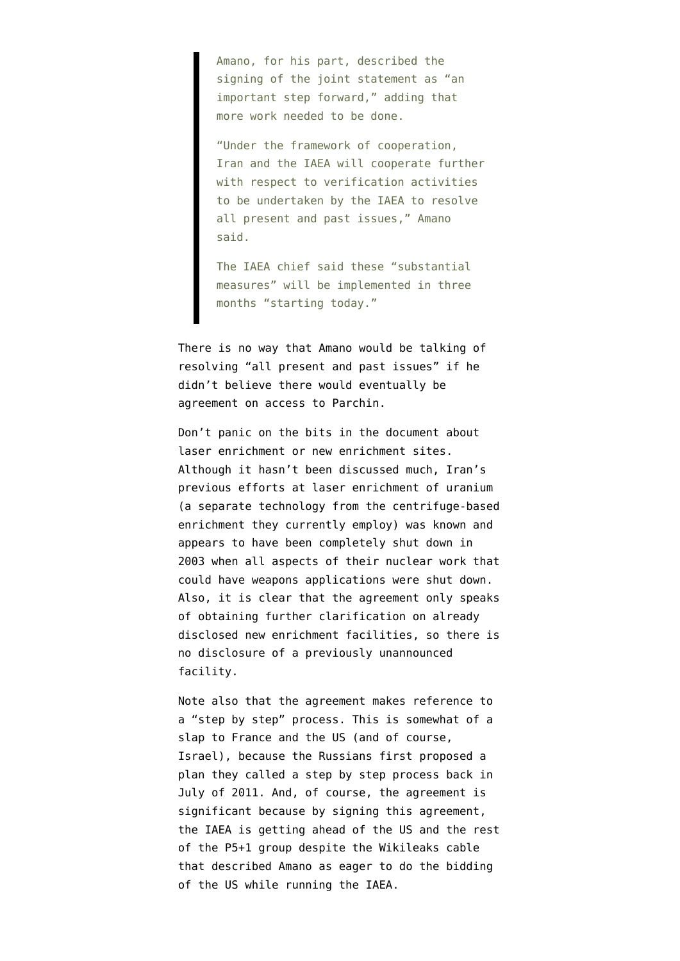Amano, for his part, described the signing of the joint statement as "an important step forward," adding that more work needed to be done.

"Under the framework of cooperation, Iran and the IAEA will cooperate further with respect to verification activities to be undertaken by the IAEA to resolve all present and past issues," Amano said.

The IAEA chief said these "substantial measures" will be implemented in three months "starting today."

There is no way that Amano would be talking of resolving "all present and past issues" if he didn't believe there would eventually be agreement on access to Parchin.

Don't panic on the bits in the document about laser enrichment or new enrichment sites. Although it hasn't been discussed much, Iran's previous efforts at laser enrichment of uranium (a separate technology from the centrifuge-based enrichment they currently employ) [was known](http://www.isisnucleariran.org/sites/detail/lashkar-abad-laser-enrichment/) and appears to have been completely shut down in 2003 when all aspects of their nuclear work that could have weapons applications were shut down. Also, it is clear that the agreement only speaks of obtaining further clarification on already disclosed new enrichment facilities, so there is no disclosure of a previously unannounced facility.

Note also that the agreement makes reference to a "step by step" process. This is somewhat of a slap to France and the US (and of course, Israel), because the [Russians first proposed a](http://www.emptywheel.net/2012/06/18/p5-1-talks-resume-in-moscow-with-iran-sanctions-set-to-ratchet-up/) [plan they called a step by step process back in](http://www.emptywheel.net/2012/06/18/p5-1-talks-resume-in-moscow-with-iran-sanctions-set-to-ratchet-up/) [July of 2011](http://www.emptywheel.net/2012/06/18/p5-1-talks-resume-in-moscow-with-iran-sanctions-set-to-ratchet-up/). And, of course, the agreement is significant because by signing this agreement, the IAEA is getting ahead of the US and the rest of the P5+1 group despite the [Wikileaks cable](http://www.theguardian.com/world/us-embassy-cables-documents/230076) that described Amano as eager to do the bidding of the US while running the IAEA.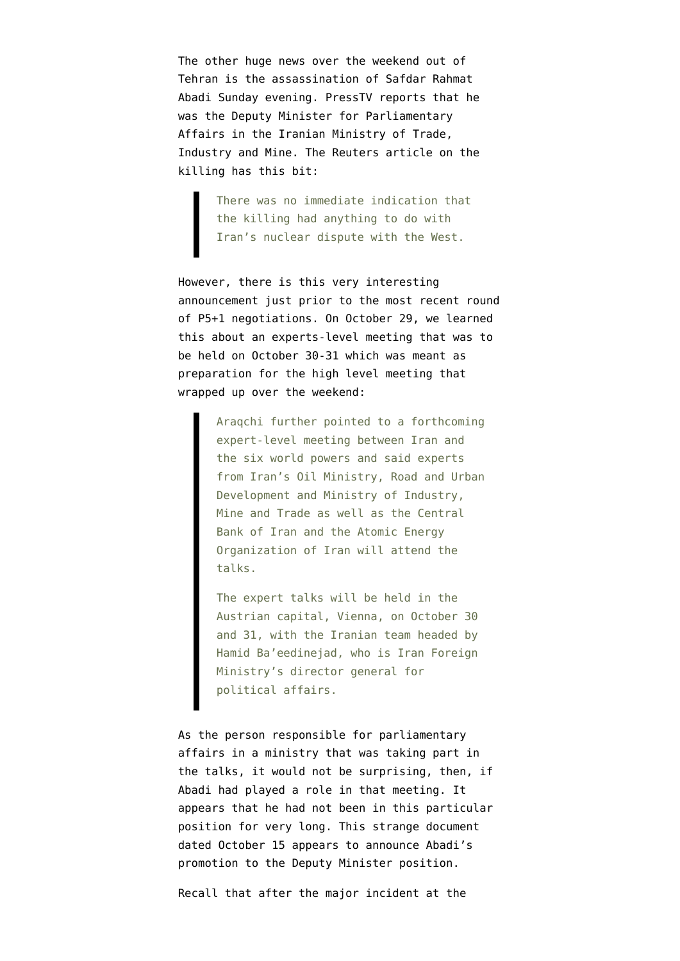The other huge news over the weekend out of Tehran is th[e assassination of Safdar Rahmat](http://www.nytimes.com/2013/11/11/world/middleeast/an-iranian-deputy-minister-is-assassinated-in-tehran.html?ref=middleeast&_r=0) [Abadi](http://www.nytimes.com/2013/11/11/world/middleeast/an-iranian-deputy-minister-is-assassinated-in-tehran.html?ref=middleeast&_r=0) Sunday evening[. PressTV reports](http://presstv.com/detail/2013/11/10/334060/iranian-official-murdered-in-tehran/) that he was the Deputy Minister for Parliamentary Affairs in the Iranian Ministry of Trade, Industry and Mine. The [Reuters article on the](http://www.reuters.com/article/2013/11/10/us-iran-minister-idUSBRE9A90GB20131110) [killing](http://www.reuters.com/article/2013/11/10/us-iran-minister-idUSBRE9A90GB20131110) has this bit:

> There was no immediate indication that the killing had anything to do with Iran's nuclear dispute with the West.

However, there is this very interesting announcement just prior to the most recent round of P5+1 negotiations. On October 29, [we learned](http://www.iranreview.org/content/Documents/Iran-Offers-New-Proposals-to-IAEA.htm) [this about an experts-level meeting](http://www.iranreview.org/content/Documents/Iran-Offers-New-Proposals-to-IAEA.htm) that was to be held on October 30-31 which was meant as preparation for the high level meeting that wrapped up over the weekend:

> Araqchi further pointed to a forthcoming expert-level meeting between Iran and the six world powers and said experts from Iran's Oil Ministry, Road and Urban Development and Ministry of Industry, Mine and Trade as well as the Central Bank of Iran and the Atomic Energy Organization of Iran will attend the talks.

The expert talks will be held in the Austrian capital, Vienna, on October 30 and 31, with the Iranian team headed by Hamid Ba'eedinejad, who is Iran Foreign Ministry's director general for political affairs.

As the person responsible for parliamentary affairs in a ministry that was taking part in the talks, it would not be surprising, then, if Abadi had played a role in that meeting. It appears that he had not been in this particular position for very long. This strange document [dated October 15 appears to announce Abadi's](http://www.idro.org/enidro/Lists/Announcements/DispForm.aspx?ID=33) [promotion to the Deputy Minister position.](http://www.idro.org/enidro/Lists/Announcements/DispForm.aspx?ID=33)

Recall that after the [major incident at the](http://www.emptywheel.net/2013/10/28/who-is-behind-latest-iran-pakistan-border-incident-who-benefits/)